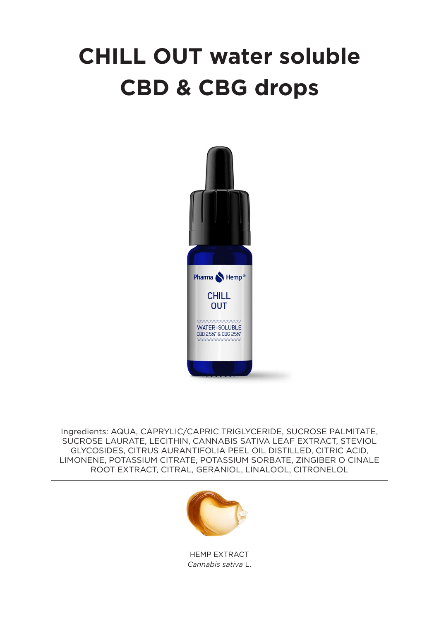## **CHILL OUT water soluble CBD & CBG drops**



Ingredients: AQUA, CAPRYLIC/CAPRIC TRIGLYCERIDE, SUCROSE PALMITATE, SUCROSE LAURATE, LECITHIN, CANNABIS SATIVA LEAF EXTRACT, STEVIOL GLYCOSIDES, CITRUS AURANTIFOLIA PEEL OIL DISTILLED, CITRIC ACID, LIMONENE, POTASSIUM CITRATE, POTASSIUM SORBATE, ZINGIBER O CINALE ROOT EXTRACT, CITRAL, GERANIOL, LINALOOL, CITRONELOL



HEMP EXTRACT *Cannabis sativa* L.